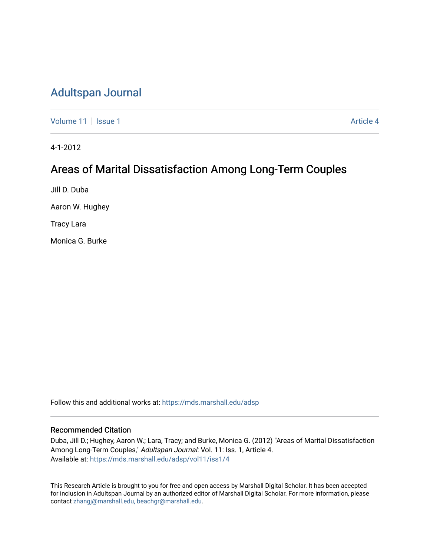# [Adultspan Journal](https://mds.marshall.edu/adsp)

[Volume 11](https://mds.marshall.edu/adsp/vol11) | [Issue 1](https://mds.marshall.edu/adsp/vol11/iss1) Article 4

4-1-2012

# Areas of Marital Dissatisfaction Among Long-Term Couples

Jill D. Duba Aaron W. Hughey Tracy Lara Monica G. Burke

Follow this and additional works at: [https://mds.marshall.edu/adsp](https://mds.marshall.edu/adsp?utm_source=mds.marshall.edu%2Fadsp%2Fvol11%2Fiss1%2F4&utm_medium=PDF&utm_campaign=PDFCoverPages) 

## Recommended Citation

Duba, Jill D.; Hughey, Aaron W.; Lara, Tracy; and Burke, Monica G. (2012) "Areas of Marital Dissatisfaction Among Long-Term Couples," Adultspan Journal: Vol. 11: Iss. 1, Article 4. Available at: [https://mds.marshall.edu/adsp/vol11/iss1/4](https://mds.marshall.edu/adsp/vol11/iss1/4?utm_source=mds.marshall.edu%2Fadsp%2Fvol11%2Fiss1%2F4&utm_medium=PDF&utm_campaign=PDFCoverPages) 

This Research Article is brought to you for free and open access by Marshall Digital Scholar. It has been accepted for inclusion in Adultspan Journal by an authorized editor of Marshall Digital Scholar. For more information, please contact [zhangj@marshall.edu, beachgr@marshall.edu](mailto:zhangj@marshall.edu,%20beachgr@marshall.edu).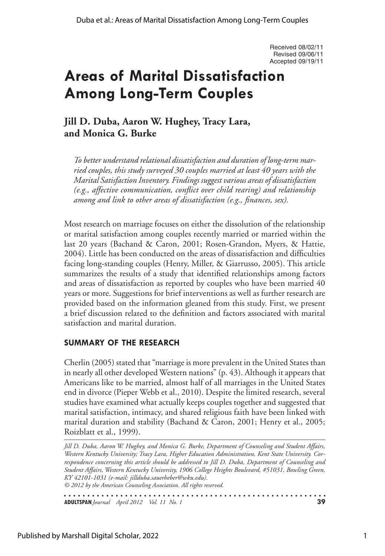Received 08/02/11 Revised 09/06/11 Accepted 09/19/11

# **Areas of Marital Dissatisfaction Among Long-Term Couples**

# **Jill D. Duba, Aaron W. Hughey, Tracy Lara, and Monica G. Burke**

*To better understand relational dissatisfaction and duration of long-term married couples, this study surveyed 30 couples married at least 40 years with the Marital Satisfaction Inventory. Findings suggest various areas of dissatisfaction (e.g., affective communication, conflict over child rearing) and relationship among and link to other areas of dissatisfaction (e.g., finances, sex).*

Most research on marriage focuses on either the dissolution of the relationship or marital satisfaction among couples recently married or married within the last 20 years (Bachand & Caron, 2001; Rosen-Grandon, Myers, & Hattie, 2004). Little has been conducted on the areas of dissatisfaction and difficulties facing long-standing couples (Henry, Miller, & Giarrusso, 2005). This article summarizes the results of a study that identified relationships among factors and areas of dissatisfaction as reported by couples who have been married 40 years or more. Suggestions for brief interventions as well as further research are provided based on the information gleaned from this study. First, we present a brief discussion related to the definition and factors associated with marital satisfaction and marital duration.

# **Summary of the Research**

Cherlin (2005) stated that "marriage is more prevalent in the United States than in nearly all other developed Western nations" (p. 43). Although it appears that Americans like to be married, almost half of all marriages in the United States end in divorce (Pieper Webb et al., 2010). Despite the limited research, several studies have examined what actually keeps couples together and suggested that marital satisfaction, intimacy, and shared religious faith have been linked with marital duration and stability (Bachand & Caron, 2001; Henry et al., 2005; Roizblatt et al., 1999).

*© 2012 by the American Counseling Association. All rights reserved. Jill D. Duba, Aaron W. Hughey, and Monica G. Burke, Department of Counseling and Student Affairs, Western Kentucky University; Tracy Lara, Higher Education Administration, Kent State University. Correspondence concerning this article should be addressed to Jill D. Duba, Department of Counseling and Student Affairs, Western Kentucky University, 1906 College Heights Boulevard, #51031, Bowling Green, KY 42101-1031 (e-mail: jillduba.sauerheber@wku.edu).* 

**ADULTSPAN***Journal April 2012 Vol. 11 No. 1* **39**

Published by Marshall Digital Scholar, 2022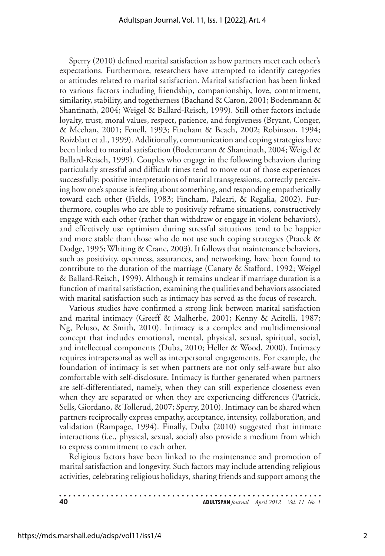Sperry (2010) defined marital satisfaction as how partners meet each other's expectations. Furthermore, researchers have attempted to identify categories or attitudes related to marital satisfaction. Marital satisfaction has been linked to various factors including friendship, companionship, love, commitment, similarity, stability, and togetherness (Bachand & Caron, 2001; Bodenmann & Shantinath, 2004; Weigel & Ballard-Reisch, 1999). Still other factors include loyalty, trust, moral values, respect, patience, and forgiveness (Bryant, Conger, & Meehan, 2001; Fenell, 1993; Fincham & Beach, 2002; Robinson, 1994; Roizblatt et al., 1999). Additionally, communication and coping strategies have been linked to marital satisfaction (Bodenmann & Shantinath, 2004; Weigel & Ballard-Reisch, 1999). Couples who engage in the following behaviors during particularly stressful and difficult times tend to move out of those experiences successfully: positive interpretations of marital transgressions, correctly perceiving how one's spouse is feeling about something, and responding empathetically toward each other (Fields, 1983; Fincham, Paleari, & Regalia, 2002). Furthermore, couples who are able to positively reframe situations, constructively engage with each other (rather than withdraw or engage in violent behaviors), and effectively use optimism during stressful situations tend to be happier and more stable than those who do not use such coping strategies (Ptacek & Dodge, 1995; Whiting & Crane, 2003). It follows that maintenance behaviors, such as positivity, openness, assurances, and networking, have been found to contribute to the duration of the marriage (Canary & Stafford, 1992; Weigel & Ballard-Reisch, 1999). Although it remains unclear if marriage duration is a function of marital satisfaction, examining the qualities and behaviors associated with marital satisfaction such as intimacy has served as the focus of research.

Various studies have confirmed a strong link between marital satisfaction and marital intimacy (Greeff & Malherbe, 2001; Kenny & Acitelli, 1987; Ng, Peluso, & Smith, 2010). Intimacy is a complex and multidimensional concept that includes emotional, mental, physical, sexual, spiritual, social, and intellectual components (Duba, 2010; Heller & Wood, 2000). Intimacy requires intrapersonal as well as interpersonal engagements. For example, the foundation of intimacy is set when partners are not only self-aware but also comfortable with self-disclosure. Intimacy is further generated when partners are self-differentiated, namely, when they can still experience closeness even when they are separated or when they are experiencing differences (Patrick, Sells, Giordano, & Tollerud, 2007; Sperry, 2010). Intimacy can be shared when partners reciprocally express empathy, acceptance, intensity, collaboration, and validation (Rampage, 1994). Finally, Duba (2010) suggested that intimate interactions (i.e., physical, sexual, social) also provide a medium from which to express commitment to each other.

Religious factors have been linked to the maintenance and promotion of marital satisfaction and longevity. Such factors may include attending religious activities, celebrating religious holidays, sharing friends and support among the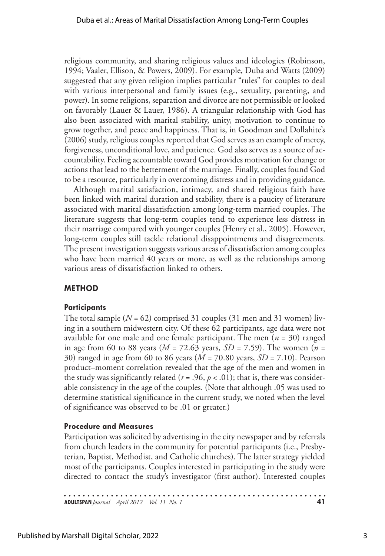religious community, and sharing religious values and ideologies (Robinson, 1994; Vaaler, Ellison, & Powers, 2009). For example, Duba and Watts (2009) suggested that any given religion implies particular "rules" for couples to deal with various interpersonal and family issues (e.g., sexuality, parenting, and power). In some religions, separation and divorce are not permissible or looked on favorably (Lauer & Lauer, 1986). A triangular relationship with God has also been associated with marital stability, unity, motivation to continue to grow together, and peace and happiness. That is, in Goodman and Dollahite's (2006) study, religious couples reported that God serves as an example of mercy, forgiveness, unconditional love, and patience. God also serves as a source of accountability. Feeling accountable toward God provides motivation for change or actions that lead to the betterment of the marriage. Finally, couples found God to be a resource, particularly in overcoming distress and in providing guidance.

Although marital satisfaction, intimacy, and shared religious faith have been linked with marital duration and stability, there is a paucity of literature associated with marital dissatisfaction among long-term married couples. The literature suggests that long-term couples tend to experience less distress in their marriage compared with younger couples (Henry et al., 2005). However, long-term couples still tackle relational disappointments and disagreements. The present investigation suggests various areas of dissatisfaction among couples who have been married 40 years or more, as well as the relationships among various areas of dissatisfaction linked to others.

#### **Method**

#### **Participants**

The total sample  $(N = 62)$  comprised 31 couples  $(31 \text{ men and } 31 \text{ women})$  living in a southern midwestern city. Of these 62 participants, age data were not available for one male and one female participant. The men (*n* = 30) ranged in age from 60 to 88 years (*M* = 72.63 years, *SD* = 7.59). The women (*n* = 30) ranged in age from 60 to 86 years (*M =* 70.80 years, *SD* = 7.10). Pearson product–moment correlation revealed that the age of the men and women in the study was significantly related ( $r = .96$ ,  $p < .01$ ); that is, there was considerable consistency in the age of the couples. (Note that although .05 was used to determine statistical significance in the current study, we noted when the level of significance was observed to be .01 or greater.)

#### **Procedure and Measures**

Participation was solicited by advertising in the city newspaper and by referrals from church leaders in the community for potential participants (i.e., Presbyterian, Baptist, Methodist, and Catholic churches). The latter strategy yielded most of the participants. Couples interested in participating in the study were directed to contact the study's investigator (first author). Interested couples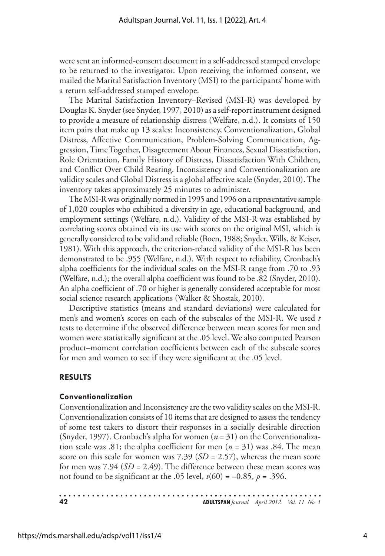were sent an informed-consent document in a self-addressed stamped envelope to be returned to the investigator. Upon receiving the informed consent, we mailed the Marital Satisfaction Inventory (MSI) to the participants' home with a return self-addressed stamped envelope.

The Marital Satisfaction Inventory–Revised (MSI-R) was developed by Douglas K. Snyder (see Snyder, 1997, 2010) as a self-report instrument designed to provide a measure of relationship distress (Welfare, n.d.). It consists of 150 item pairs that make up 13 scales: Inconsistency, Conventionalization, Global Distress, Affective Communication, Problem-Solving Communication, Aggression, Time Together, Disagreement About Finances, Sexual Dissatisfaction, Role Orientation, Family History of Distress, Dissatisfaction With Children, and Conflict Over Child Rearing. Inconsistency and Conventionalization are validity scales and Global Distress is a global affective scale (Snyder, 2010). The inventory takes approximately 25 minutes to administer.

The MSI-R was originally normed in 1995 and 1996 on a representative sample of 1,020 couples who exhibited a diversity in age, educational background, and employment settings (Welfare, n.d.). Validity of the MSI-R was established by correlating scores obtained via its use with scores on the original MSI, which is generally considered to be valid and reliable (Boen, 1988; Snyder, Wills, & Keiser, 1981). With this approach, the criterion-related validity of the MSI-R has been demonstrated to be .955 (Welfare, n.d.). With respect to reliability, Cronbach's alpha coefficients for the individual scales on the MSI-R range from .70 to .93 (Welfare, n.d.); the overall alpha coefficient was found to be .82 (Snyder, 2010). An alpha coefficient of .70 or higher is generally considered acceptable for most social science research applications (Walker & Shostak, 2010).

Descriptive statistics (means and standard deviations) were calculated for men's and women's scores on each of the subscales of the MSI-R. We used *t* tests to determine if the observed difference between mean scores for men and women were statistically significant at the .05 level. We also computed Pearson product–moment correlation coefficients between each of the subscale scores for men and women to see if they were significant at the .05 level.

#### **Results**

#### **Conventionalization**

Conventionalization and Inconsistency are the two validity scales on the MSI-R. Conventionalization consists of 10 items that are designed to assess the tendency of some test takers to distort their responses in a socially desirable direction (Snyder, 1997). Cronbach's alpha for women (*n* = 31) on the Conventionalization scale was .81; the alpha coefficient for men (*n* = 31) was .84. The mean score on this scale for women was 7.39 (*SD* = 2.57), whereas the mean score for men was 7.94 (*SD* = 2.49). The difference between these mean scores was not found to be significant at the .05 level,  $t(60) = -0.85$ ,  $p = .396$ .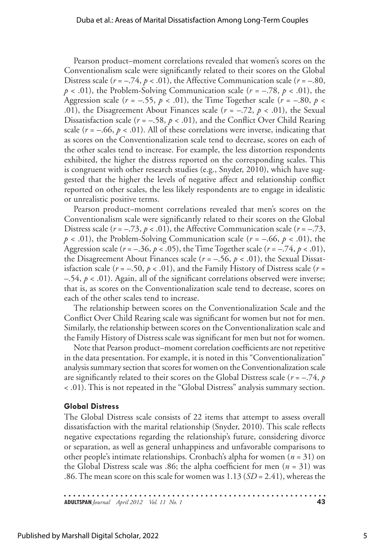Pearson product–moment correlations revealed that women's scores on the Conventionalism scale were significantly related to their scores on the Global Distress scale  $(r = -.74, p < .01)$ , the Affective Communication scale  $(r = -.80,$  $p < .01$ ), the Problem-Solving Communication scale ( $r = -.78$ ,  $p < .01$ ), the Aggression scale  $(r = -.55, p < .01)$ , the Time Together scale  $(r = -.80, p <$ .01), the Disagreement About Finances scale  $(r = -.72, p < .01)$ , the Sexual Dissatisfaction scale ( $r = -.58$ ,  $p < .01$ ), and the Conflict Over Child Rearing scale  $(r = -.66, p < .01)$ . All of these correlations were inverse, indicating that as scores on the Conventionalization scale tend to decrease, scores on each of the other scales tend to increase. For example, the less distortion respondents exhibited, the higher the distress reported on the corresponding scales. This is congruent with other research studies (e.g., Snyder, 2010), which have suggested that the higher the levels of negative affect and relationship conflict reported on other scales, the less likely respondents are to engage in idealistic or unrealistic positive terms.

Pearson product–moment correlations revealed that men's scores on the Conventionalism scale were significantly related to their scores on the Global Distress scale  $(r = -.73, p < .01)$ , the Affective Communication scale  $(r = -.73, p < .01)$  $p < .01$ ), the Problem-Solving Communication scale ( $r = -.66$ ,  $p < .01$ ), the Aggression scale  $(r = -.36, p < .05)$ , the Time Together scale  $(r = -.74, p < .01)$ , the Disagreement About Finances scale  $(r = -.56, p < .01)$ , the Sexual Dissatisfaction scale  $(r = -.50, p < .01)$ , and the Family History of Distress scale  $(r =$ –.54, *p* < .01). Again, all of the significant correlations observed were inverse; that is, as scores on the Conventionalization scale tend to decrease, scores on each of the other scales tend to increase.

The relationship between scores on the Conventionalization Scale and the Conflict Over Child Rearing scale was significant for women but not for men. Similarly, the relationship between scores on the Conventionalization scale and the Family History of Distress scale was significant for men but not for women.

Note that Pearson product–moment correlation coefficients are not repetitive in the data presentation. For example, it is noted in this "Conventionalization" analysis summary section that scores for women on the Conventionalization scale are significantly related to their scores on the Global Distress scale (*r* = –.74, *p* < .01). This is not repeated in the "Global Distress" analysis summary section.

#### **Global Distress**

The Global Distress scale consists of 22 items that attempt to assess overall dissatisfaction with the marital relationship (Snyder, 2010). This scale reflects negative expectations regarding the relationship's future, considering divorce or separation, as well as general unhappiness and unfavorable comparisons to other people's intimate relationships. Cronbach's alpha for women (*n* = 31) on the Global Distress scale was .86; the alpha coefficient for men  $(n = 31)$  was .86. The mean score on this scale for women was 1.13 (*SD* = 2.41), whereas the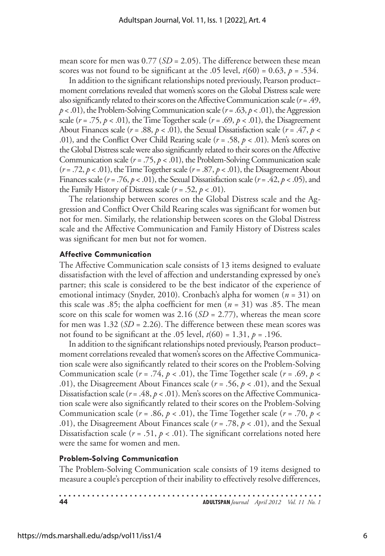mean score for men was  $0.77$  (*SD* = 2.05). The difference between these mean scores was not found to be significant at the .05 level,  $t(60) = 0.63$ ,  $p = .534$ .

In addition to the significant relationships noted previously, Pearson product– moment correlations revealed that women's scores on the Global Distress scale were also significantly related to their scores on the Affective Communication scale  $(r = .49, )$ *p* < .01), the Problem-Solving Communication scale (*r* = .63, *p* < .01), the Aggression scale  $(r = .75, p < .01)$ , the Time Together scale  $(r = .69, p < .01)$ , the Disagreement About Finances scale ( $r = .88$ ,  $p < .01$ ), the Sexual Dissatisfaction scale ( $r = .47$ ,  $p <$ .01), and the Conflict Over Child Rearing scale (*r* = .58, *p* < .01). Men's scores on the Global Distress scale were also significantly related to their scores on the Affective Communication scale  $(r = .75, p < .01)$ , the Problem-Solving Communication scale  $(r=.72, p < .01)$ , the Time Together scale  $(r=.87, p < .01)$ , the Disagreement About Finances scale  $(r = .76, p < .01)$ , the Sexual Dissatisfaction scale  $(r = .42, p < .05)$ , and the Family History of Distress scale  $(r = .52, p < .01)$ .

The relationship between scores on the Global Distress scale and the Aggression and Conflict Over Child Rearing scales was significant for women but not for men. Similarly, the relationship between scores on the Global Distress scale and the Affective Communication and Family History of Distress scales was significant for men but not for women.

#### **Affective Communication**

The Affective Communication scale consists of 13 items designed to evaluate dissatisfaction with the level of affection and understanding expressed by one's partner; this scale is considered to be the best indicator of the experience of emotional intimacy (Snyder, 2010). Cronbach's alpha for women (*n* = 31) on this scale was .85; the alpha coefficient for men  $(n = 31)$  was .85. The mean score on this scale for women was 2.16 (*SD* = 2.77), whereas the mean score for men was 1.32 (*SD* = 2.26). The difference between these mean scores was not found to be significant at the .05 level,  $t(60) = 1.31$ ,  $p = .196$ .

In addition to the significant relationships noted previously, Pearson product– moment correlations revealed that women's scores on the Affective Communication scale were also significantly related to their scores on the Problem-Solving Communication scale  $(r = .74, p < .01)$ , the Time Together scale  $(r = .69, p <$ .01), the Disagreement About Finances scale (*r* = .56, *p* < .01), and the Sexual Dissatisfaction scale (*r* = .48, *p* < .01). Men's scores on the Affective Communication scale were also significantly related to their scores on the Problem-Solving Communication scale ( $r = .86$ ,  $p < .01$ ), the Time Together scale ( $r = .70$ ,  $p <$ .01), the Disagreement About Finances scale (*r* = .78, *p* < .01), and the Sexual Dissatisfaction scale ( $r = .51$ ,  $p < .01$ ). The significant correlations noted here were the same for women and men.

#### **Problem-Solving Communication**

The Problem-Solving Communication scale consists of 19 items designed to measure a couple's perception of their inability to effectively resolve differences,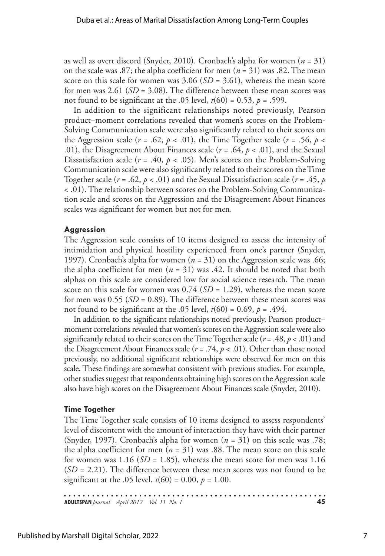as well as overt discord (Snyder, 2010). Cronbach's alpha for women (*n* = 31) on the scale was .87; the alpha coefficient for men (*n* = 31) was .82. The mean score on this scale for women was 3.06 (*SD* = 3.61), whereas the mean score for men was 2.61 (*SD* = 3.08). The difference between these mean scores was not found to be significant at the .05 level,  $t(60) = 0.53$ ,  $p = .599$ .

In addition to the significant relationships noted previously, Pearson product–moment correlations revealed that women's scores on the Problem-Solving Communication scale were also significantly related to their scores on the Aggression scale ( $r = .62$ ,  $p < .01$ ), the Time Together scale ( $r = .56$ ,  $p <$ .01), the Disagreement About Finances scale (*r* = .64, *p* < .01), and the Sexual Dissatisfaction scale (*r* = .40, *p* < .05). Men's scores on the Problem-Solving Communication scale were also significantly related to their scores on the Time Together scale ( $r = .62$ ,  $p < .01$ ) and the Sexual Dissatisfaction scale ( $r = .45$ ,  $p$ ) < .01). The relationship between scores on the Problem-Solving Communication scale and scores on the Aggression and the Disagreement About Finances scales was significant for women but not for men.

#### **Aggression**

The Aggression scale consists of 10 items designed to assess the intensity of intimidation and physical hostility experienced from one's partner (Snyder, 1997). Cronbach's alpha for women (*n* = 31) on the Aggression scale was .66; the alpha coefficient for men  $(n = 31)$  was .42. It should be noted that both alphas on this scale are considered low for social science research. The mean score on this scale for women was  $0.74$  ( $SD = 1.29$ ), whereas the mean score for men was 0.55 (*SD* = 0.89). The difference between these mean scores was not found to be significant at the .05 level,  $t(60) = 0.69$ ,  $p = .494$ .

In addition to the significant relationships noted previously, Pearson product– moment correlations revealed that women's scores on the Aggression scale were also significantly related to their scores on the Time Together scale (*r* = .48, *p* < .01) and the Disagreement About Finances scale  $(r = .74, p < .01)$ . Other than those noted previously, no additional significant relationships were observed for men on this scale. These findings are somewhat consistent with previous studies. For example, other studies suggest that respondents obtaining high scores on the Aggression scale also have high scores on the Disagreement About Finances scale (Snyder, 2010).

#### **Time Together**

The Time Together scale consists of 10 items designed to assess respondents' level of discontent with the amount of interaction they have with their partner (Snyder, 1997). Cronbach's alpha for women (*n* = 31) on this scale was .78; the alpha coefficient for men ( $n = 31$ ) was .88. The mean score on this scale for women was  $1.16$  (*SD* = 1.85), whereas the mean score for men was  $1.16$ (*SD* = 2.21). The difference between these mean scores was not found to be significant at the .05 level,  $t(60) = 0.00$ ,  $p = 1.00$ .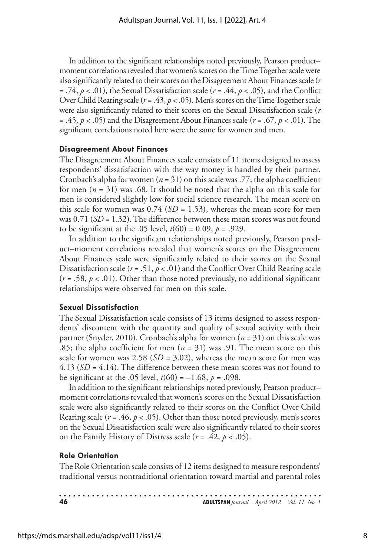In addition to the significant relationships noted previously, Pearson product– moment correlations revealed that women's scores on the Time Together scale were also significantly related to their scores on the Disagreement About Finances scale (*r* = .74, *p* < .01), the Sexual Dissatisfaction scale (*r* = .44, *p* < .05), and the Conflict Over Child Rearing scale (*r* = .43, *p* < .05). Men's scores on the Time Together scale were also significantly related to their scores on the Sexual Dissatisfaction scale (*r* = .45, *p* < .05) and the Disagreement About Finances scale (*r* = .67, *p* < .01). The significant correlations noted here were the same for women and men.

#### **Disagreement About Finances**

The Disagreement About Finances scale consists of 11 items designed to assess respondents' dissatisfaction with the way money is handled by their partner. Cronbach's alpha for women ( $n = 31$ ) on this scale was .77; the alpha coefficient for men  $(n = 31)$  was .68. It should be noted that the alpha on this scale for men is considered slightly low for social science research. The mean score on this scale for women was  $0.74$  (*SD* = 1.53), whereas the mean score for men was 0.71 (*SD* = 1.32). The difference between these mean scores was not found to be significant at the .05 level, *t*(60) = 0.09, *p* = .929.

In addition to the significant relationships noted previously, Pearson product–moment correlations revealed that women's scores on the Disagreement About Finances scale were significantly related to their scores on the Sexual Dissatisfaction scale (*r* = .51, *p* < .01) and the Conflict Over Child Rearing scale  $(r = .58, p < .01)$ . Other than those noted previously, no additional significant relationships were observed for men on this scale.

#### **Sexual Dissatisfaction**

The Sexual Dissatisfaction scale consists of 13 items designed to assess respondents' discontent with the quantity and quality of sexual activity with their partner (Snyder, 2010). Cronbach's alpha for women (*n* = 31) on this scale was .85; the alpha coefficient for men (*n* = 31) was .91. The mean score on this scale for women was 2.58 (*SD* = 3.02), whereas the mean score for men was 4.13 (*SD* = 4.14). The difference between these mean scores was not found to be significant at the .05 level,  $t(60) = -1.68$ ,  $p = .098$ .

In addition to the significant relationships noted previously, Pearson product– moment correlations revealed that women's scores on the Sexual Dissatisfaction scale were also significantly related to their scores on the Conflict Over Child Rearing scale (*r* = .46, *p* < .05). Other than those noted previously, men's scores on the Sexual Dissatisfaction scale were also significantly related to their scores on the Family History of Distress scale (*r* = .42, *p* < .05).

#### **Role Orientation**

The Role Orientation scale consists of 12 items designed to measure respondents' traditional versus nontraditional orientation toward martial and parental roles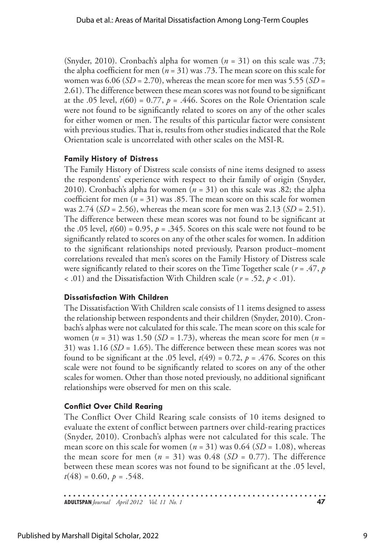(Snyder, 2010). Cronbach's alpha for women (*n* = 31) on this scale was .73; the alpha coefficient for men ( $n = 31$ ) was .73. The mean score on this scale for women was  $6.06$  ( $SD = 2.70$ ), whereas the mean score for men was  $5.55$  ( $SD =$ 2.61). The difference between these mean scores was not found to be significant at the .05 level,  $t(60) = 0.77$ ,  $p = .446$ . Scores on the Role Orientation scale were not found to be significantly related to scores on any of the other scales for either women or men. The results of this particular factor were consistent with previous studies. That is, results from other studies indicated that the Role Orientation scale is uncorrelated with other scales on the MSI-R.

## **Family History of Distress**

The Family History of Distress scale consists of nine items designed to assess the respondents' experience with respect to their family of origin (Snyder, 2010). Cronbach's alpha for women  $(n = 31)$  on this scale was .82; the alpha coefficient for men  $(n = 31)$  was .85. The mean score on this scale for women was 2.74 (*SD* = 2.56), whereas the mean score for men was 2.13 (*SD* = 2.51). The difference between these mean scores was not found to be significant at the .05 level,  $t(60) = 0.95$ ,  $p = .345$ . Scores on this scale were not found to be significantly related to scores on any of the other scales for women. In addition to the significant relationships noted previously, Pearson product–moment correlations revealed that men's scores on the Family History of Distress scale were significantly related to their scores on the Time Together scale (*r* = .47, *p* < .01) and the Dissatisfaction With Children scale (*r* = .52, *p* < .01).

## **Dissatisfaction With Children**

The Dissatisfaction With Children scale consists of 11 items designed to assess the relationship between respondents and their children (Snyder, 2010). Cronbach's alphas were not calculated for this scale. The mean score on this scale for women ( $n = 31$ ) was 1.50 (*SD* = 1.73), whereas the mean score for men ( $n =$ 31) was 1.16 (*SD* = 1.65). The difference between these mean scores was not found to be significant at the .05 level,  $t(49) = 0.72$ ,  $p = .476$ . Scores on this scale were not found to be significantly related to scores on any of the other scales for women. Other than those noted previously, no additional significant relationships were observed for men on this scale.

# **Conflict Over Child Rearing**

The Conflict Over Child Rearing scale consists of 10 items designed to evaluate the extent of conflict between partners over child-rearing practices (Snyder, 2010). Cronbach's alphas were not calculated for this scale. The mean score on this scale for women  $(n = 31)$  was 0.64 (*SD* = 1.08), whereas the mean score for men  $(n = 31)$  was 0.48 (*SD* = 0.77). The difference between these mean scores was not found to be significant at the .05 level,  $t(48) = 0.60, p = .548.$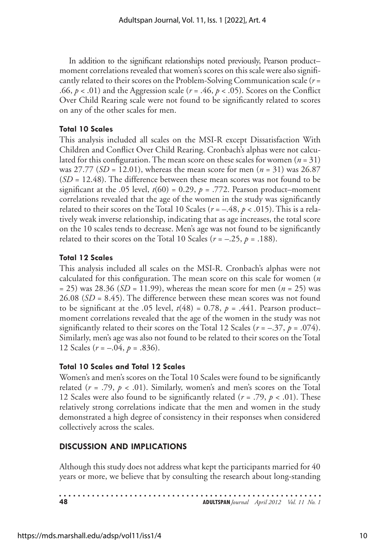In addition to the significant relationships noted previously, Pearson product– moment correlations revealed that women's scores on this scale were also significantly related to their scores on the Problem-Solving Communication scale (*r* = .66,  $p < .01$ ) and the Aggression scale ( $r = .46$ ,  $p < .05$ ). Scores on the Conflict Over Child Rearing scale were not found to be significantly related to scores on any of the other scales for men.

#### **Total 10 Scales**

This analysis included all scales on the MSI-R except Dissatisfaction With Children and Conflict Over Child Rearing. Cronbach's alphas were not calculated for this configuration. The mean score on these scales for women  $(n = 31)$ was 27.77 (*SD* = 12.01), whereas the mean score for men (*n* = 31) was 26.87 (*SD* = 12.48). The difference between these mean scores was not found to be significant at the .05 level,  $t(60) = 0.29$ ,  $p = .772$ . Pearson product–moment correlations revealed that the age of the women in the study was significantly related to their scores on the Total 10 Scales ( $r = -.48$ ,  $p < .015$ ). This is a relatively weak inverse relationship, indicating that as age increases, the total score on the 10 scales tends to decrease. Men's age was not found to be significantly related to their scores on the Total 10 Scales ( $r = -.25$ ,  $p = .188$ ).

#### **Total 12 Scales**

This analysis included all scales on the MSI-R. Cronbach's alphas were not calculated for this configuration. The mean score on this scale for women (*n* = 25) was 28.36 (*SD* = 11.99), whereas the mean score for men (*n* = 25) was 26.08 (*SD* = 8.45). The difference between these mean scores was not found to be significant at the .05 level,  $t(48) = 0.78$ ,  $p = .441$ . Pearson product– moment correlations revealed that the age of the women in the study was not significantly related to their scores on the Total 12 Scales ( $r = -.37$ ,  $p = .074$ ). Similarly, men's age was also not found to be related to their scores on the Total 12 Scales (*r* = –.04, *p* = .836).

#### **Total 10 Scales and Total 12 Scales**

Women's and men's scores on the Total 10 Scales were found to be significantly related  $(r = .79, p < .01)$ . Similarly, women's and men's scores on the Total 12 Scales were also found to be significantly related (*r* = .79, *p* < .01). These relatively strong correlations indicate that the men and women in the study demonstrated a high degree of consistency in their responses when considered collectively across the scales.

#### **Discussion and Implications**

Although this study does not address what kept the participants married for 40 years or more, we believe that by consulting the research about long-standing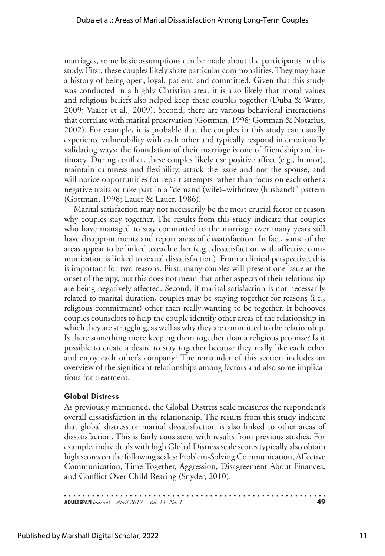marriages, some basic assumptions can be made about the participants in this study. First, these couples likely share particular commonalities. They may have a history of being open, loyal, patient, and committed. Given that this study was conducted in a highly Christian area, it is also likely that moral values and religious beliefs also helped keep these couples together (Duba & Watts, 2009; Vaaler et al., 2009). Second, there are various behavioral interactions that correlate with marital preservation (Gottman, 1998; Gottman & Notarius, 2002). For example, it is probable that the couples in this study can usually experience vulnerability with each other and typically respond in emotionally validating ways; the foundation of their marriage is one of friendship and intimacy. During conflict, these couples likely use positive affect (e.g., humor), maintain calmness and flexibility, attack the issue and not the spouse, and will notice opportunities for repair attempts rather than focus on each other's negative traits or take part in a "demand (wife)–withdraw (husband)" pattern (Gottman, 1998; Lauer & Lauer, 1986).

Marital satisfaction may not necessarily be the most crucial factor or reason why couples stay together. The results from this study indicate that couples who have managed to stay committed to the marriage over many years still have disappointments and report areas of dissatisfaction. In fact, some of the areas appear to be linked to each other (e.g., dissatisfaction with affective communication is linked to sexual dissatisfaction). From a clinical perspective, this is important for two reasons. First, many couples will present one issue at the onset of therapy, but this does not mean that other aspects of their relationship are being negatively affected. Second, if marital satisfaction is not necessarily related to marital duration, couples may be staying together for reasons (i.e., religious commitment) other than really wanting to be together. It behooves couples counselors to help the couple identify other areas of the relationship in which they are struggling, as well as why they are committed to the relationship. Is there something more keeping them together than a religious promise? Is it possible to create a desire to stay together because they really like each other and enjoy each other's company? The remainder of this section includes an overview of the significant relationships among factors and also some implications for treatment.

#### **Global Distress**

As previously mentioned, the Global Distress scale measures the respondent's overall dissatisfaction in the relationship. The results from this study indicate that global distress or marital dissatisfaction is also linked to other areas of dissatisfaction. This is fairly consistent with results from previous studies. For example, individuals with high Global Distress scale scores typically also obtain high scores on the following scales: Problem-Solving Communication, Affective Communication, Time Together, Aggression, Disagreement About Finances, and Conflict Over Child Rearing (Snyder, 2010).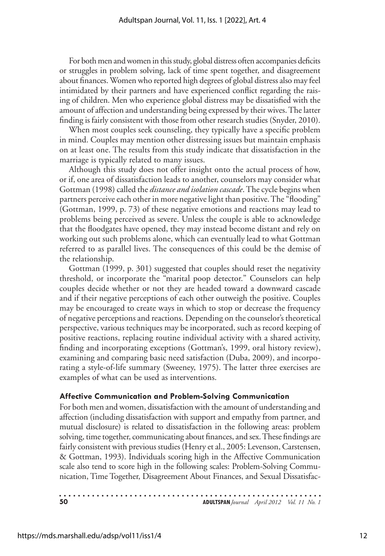For both men and women in this study, global distress often accompanies deficits or struggles in problem solving, lack of time spent together, and disagreement about finances. Women who reported high degrees of global distress also may feel intimidated by their partners and have experienced conflict regarding the raising of children. Men who experience global distress may be dissatisfied with the amount of affection and understanding being expressed by their wives. The latter finding is fairly consistent with those from other research studies (Snyder, 2010).

When most couples seek counseling, they typically have a specific problem in mind. Couples may mention other distressing issues but maintain emphasis on at least one. The results from this study indicate that dissatisfaction in the marriage is typically related to many issues.

Although this study does not offer insight onto the actual process of how, or if, one area of dissatisfaction leads to another, counselors may consider what Gottman (1998) called the *distance and isolation cascade*. The cycle begins when partners perceive each other in more negative light than positive. The "flooding" (Gottman, 1999, p. 73) of these negative emotions and reactions may lead to problems being perceived as severe. Unless the couple is able to acknowledge that the floodgates have opened, they may instead become distant and rely on working out such problems alone, which can eventually lead to what Gottman referred to as parallel lives. The consequences of this could be the demise of the relationship.

Gottman (1999, p. 301) suggested that couples should reset the negativity threshold, or incorporate the "marital poop detector." Counselors can help couples decide whether or not they are headed toward a downward cascade and if their negative perceptions of each other outweigh the positive. Couples may be encouraged to create ways in which to stop or decrease the frequency of negative perceptions and reactions. Depending on the counselor's theoretical perspective, various techniques may be incorporated, such as record keeping of positive reactions, replacing routine individual activity with a shared activity, finding and incorporating exceptions (Gottman's, 1999, oral history review), examining and comparing basic need satisfaction (Duba, 2009), and incorporating a style-of-life summary (Sweeney, 1975). The latter three exercises are examples of what can be used as interventions.

#### **Affective Communication and Problem-Solving Communication**

For both men and women, dissatisfaction with the amount of understanding and affection (including dissatisfaction with support and empathy from partner, and mutual disclosure) is related to dissatisfaction in the following areas: problem solving, time together, communicating about finances, and sex. These findings are fairly consistent with previous studies (Henry et al., 2005: Levenson, Carstensen, & Gottman, 1993). Individuals scoring high in the Affective Communication scale also tend to score high in the following scales: Problem-Solving Communication, Time Together, Disagreement About Finances, and Sexual Dissatisfac-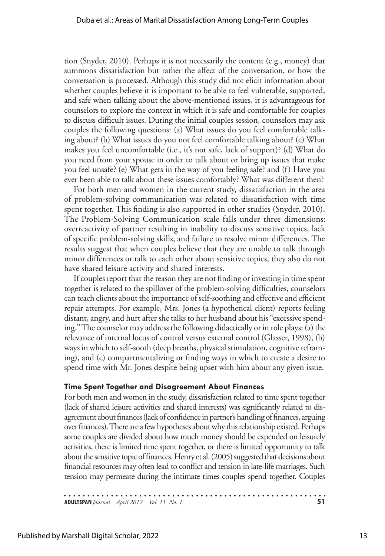tion (Snyder, 2010). Perhaps it is not necessarily the content (e.g., money) that summons dissatisfaction but rather the affect of the conversation, or how the conversation is processed. Although this study did not elicit information about whether couples believe it is important to be able to feel vulnerable, supported, and safe when talking about the above-mentioned issues, it is advantageous for counselors to explore the context in which it is safe and comfortable for couples to discuss difficult issues. During the initial couples session, counselors may ask couples the following questions: (a) What issues do you feel comfortable talking about? (b) What issues do you not feel comfortable talking about? (c) What makes you feel uncomfortable (i.e., it's not safe, lack of support)? (d) What do you need from your spouse in order to talk about or bring up issues that make you feel unsafe? (e) What gets in the way of you feeling safe? and (f) Have you ever been able to talk about these issues comfortably? What was different then?

For both men and women in the current study, dissatisfaction in the area of problem-solving communication was related to dissatisfaction with time spent together. This finding is also supported in other studies (Snyder, 2010). The Problem-Solving Communication scale falls under three dimensions: overreactivity of partner resulting in inability to discuss sensitive topics, lack of specific problem-solving skills, and failure to resolve minor differences. The results suggest that when couples believe that they are unable to talk through minor differences or talk to each other about sensitive topics, they also do not have shared leisure activity and shared interests.

If couples report that the reason they are not finding or investing in time spent together is related to the spillover of the problem-solving difficulties, counselors can teach clients about the importance of self-soothing and effective and efficient repair attempts. For example, Mrs. Jones (a hypothetical client) reports feeling distant, angry, and hurt after she talks to her husband about his "excessive spending." The counselor may address the following didactically or in role plays: (a) the relevance of internal locus of control versus external control (Glasser, 1998), (b) ways in which to self-sooth (deep breaths, physical stimulation, cognitive reframing), and (c) compartmentalizing or finding ways in which to create a desire to spend time with Mr. Jones despite being upset with him about any given issue.

#### **Time Spent Together and Disagreement About Finances**

For both men and women in the study, dissatisfaction related to time spent together (lack of shared leisure activities and shared interests) was significantly related to disagreement about finances (lack of confidence in partner's handling of finances, arguing over finances). There are a few hypotheses about why this relationship existed. Perhaps some couples are divided about how much money should be expended on leisurely activities, there is limited time spent together, or there is limited opportunity to talk about the sensitive topic of finances. Henry et al. (2005) suggested that decisions about financial resources may often lead to conflict and tension in late-life marriages. Such tension may permeate during the intimate times couples spend together. Couples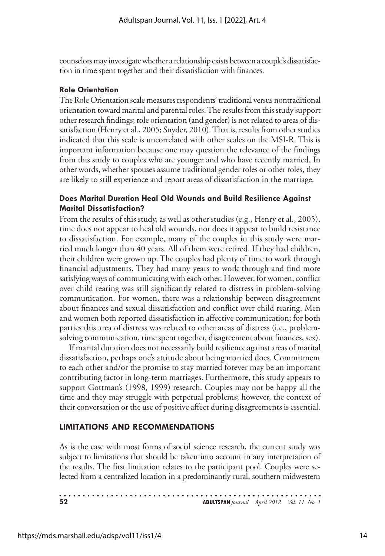counselors may investigate whether a relationship exists between a couple's dissatisfaction in time spent together and their dissatisfaction with finances.

#### **Role Orientation**

The Role Orientation scale measures respondents' traditional versus nontraditional orientation toward marital and parental roles. The results from this study support other research findings; role orientation (and gender) is not related to areas of dissatisfaction (Henry et al., 2005; Snyder, 2010). That is, results from other studies indicated that this scale is uncorrelated with other scales on the MSI-R. This is important information because one may question the relevance of the findings from this study to couples who are younger and who have recently married. In other words, whether spouses assume traditional gender roles or other roles, they are likely to still experience and report areas of dissatisfaction in the marriage.

#### **Does Marital Duration Heal Old Wounds and Build Resilience Against Marital Dissatisfaction?**

From the results of this study, as well as other studies (e.g., Henry et al., 2005), time does not appear to heal old wounds, nor does it appear to build resistance to dissatisfaction. For example, many of the couples in this study were married much longer than 40 years. All of them were retired. If they had children, their children were grown up. The couples had plenty of time to work through financial adjustments. They had many years to work through and find more satisfying ways of communicating with each other. However, for women, conflict over child rearing was still significantly related to distress in problem-solving communication. For women, there was a relationship between disagreement about finances and sexual dissatisfaction and conflict over child rearing. Men and women both reported dissatisfaction in affective communication; for both parties this area of distress was related to other areas of distress (i.e., problemsolving communication, time spent together, disagreement about finances, sex).

If marital duration does not necessarily build resilience against areas of marital dissatisfaction, perhaps one's attitude about being married does. Commitment to each other and/or the promise to stay married forever may be an important contributing factor in long-term marriages. Furthermore, this study appears to support Gottman's (1998, 1999) research. Couples may not be happy all the time and they may struggle with perpetual problems; however, the context of their conversation or the use of positive affect during disagreements is essential.

#### **Limitations and Recommendations**

As is the case with most forms of social science research, the current study was subject to limitations that should be taken into account in any interpretation of the results. The first limitation relates to the participant pool. Couples were selected from a centralized location in a predominantly rural, southern midwestern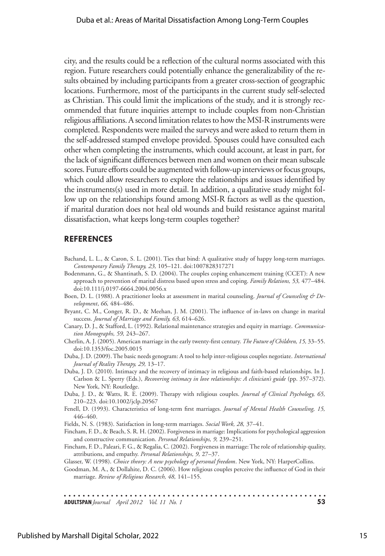city, and the results could be a reflection of the cultural norms associated with this region. Future researchers could potentially enhance the generalizability of the results obtained by including participants from a greater cross-section of geographic locations. Furthermore, most of the participants in the current study self-selected as Christian. This could limit the implications of the study, and it is strongly recommended that future inquiries attempt to include couples from non-Christian religious affiliations. A second limitation relates to how the MSI-R instruments were completed. Respondents were mailed the surveys and were asked to return them in the self-addressed stamped envelope provided. Spouses could have consulted each other when completing the instruments, which could account, at least in part, for the lack of significant differences between men and women on their mean subscale scores. Future efforts could be augmented with follow-up interviews or focus groups, which could allow researchers to explore the relationships and issues identified by the instruments(s) used in more detail. In addition, a qualitative study might follow up on the relationships found among MSI-R factors as well as the question, if marital duration does not heal old wounds and build resistance against marital dissatisfaction, what keeps long-term couples together?

#### **References**

- Bachand, L. L., & Caron, S. L. (2001). Ties that bind: A qualitative study of happy long-term marriages. *Contemporary Family Therapy, 23,* 105–121. doi:1007828317271
- Bodenmann, G., & Shantinath, S. D. (2004). The couples coping enhancement training (CCET): A new approach to prevention of marital distress based upon stress and coping. *Family Relations, 53,* 477–484. doi:10.111/j.0197-6664.2004.0056.x
- Boen, D. L. (1988). A practitioner looks at assessment in marital counseling. *Journal of Counseling & Development*, *66,* 484–486.
- Bryant, C. M., Conger, R. D., & Meehan, J. M. (2001). The influence of in-laws on change in marital success. *Journal of Marriage and Family, 63,* 614–626.
- Canary, D. J., & Stafford, L. (1992). Relational maintenance strategies and equity in marriage. *Communication Monographs, 59,* 243–267.
- Cherlin, A. J. (2005). American marriage in the early twenty-first century. *The Future of Children, 15,* 33–55. doi:10.1353/foc.2005.0015
- Duba, J. D. (2009). The basic needs genogram: A tool to help inter-religious couples negotiate. *International Journal of Reality Therapy, 29,* 13–17.
- Duba, J. D. (2010). Intimacy and the recovery of intimacy in religious and faith-based relationships. In J. Carlson & L. Sperry (Eds.), *Recovering intimacy in love relationships: A clinician's guide* (pp. 357–372). New York, NY: Routledge.

Duba, J. D., & Watts, R. E. (2009). Therapy with religious couples. *Journal of Clinical Psychology, 65,* 210–223. doi:10.1002/jclp.20567

- Fenell, D. (1993). Characteristics of long-term first marriages. *Journal of Mental Health Counseling, 15,* 446–460.
- Fields, N. S. (1983). Satisfaction in long-term marriages. *Social Work, 28,* 37–41.

Fincham, F. D., & Beach, S. R. H. (2002). Forgiveness in marriage: Implications for psychological aggression and constructive communication. *Personal Relationships, 9,* 239–251.

Fincham, F. D., Paleari, F. G., & Regalia, C. (2002). Forgiveness in marriage: The role of relationship quality, attributions, and empathy. *Personal Relationships, 9,* 27–37.

Glasser, W. (1998). *Choice theory: A new psychology of personal freedom*. New York, NY: HarperCollins.

Goodman, M. A., & Dollahite, D. C. (2006). How religious couples perceive the influence of God in their marriage. *Review of Religious Research, 48,* 141–155.